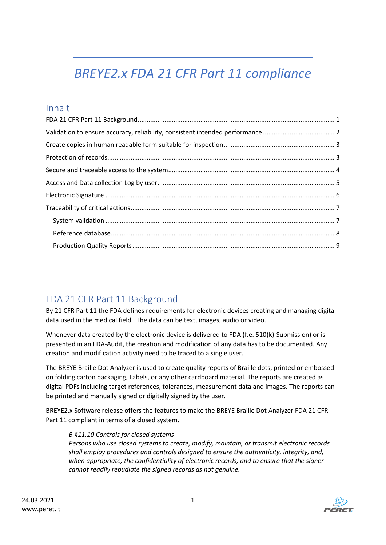# *BREYE2.x FDA 21 CFR Part 11 compliance*

## Inhalt

# <span id="page-0-0"></span>FDA 21 CFR Part 11 Background

By 21 CFR Part 11 the FDA defines requirements for electronic devices creating and managing digital data used in the medical field. The data can be text, images, audio or video.

Whenever data created by the electronic device is delivered to FDA (f.e. 510(k)-Submission) or is presented in an FDA-Audit, the creation and modification of any data has to be documented. Any creation and modification activity need to be traced to a single user.

The BREYE Braille Dot Analyzer is used to create quality reports of Braille dots, printed or embossed on folding carton packaging, Labels, or any other cardboard material. The reports are created as digital PDFs including target references, tolerances, measurement data and images. The reports can be printed and manually signed or digitally signed by the user.

BREYE2.x Software release offers the features to make the BREYE Braille Dot Analyzer FDA 21 CFR Part 11 compliant in terms of a closed system.

#### *B §11.10 Controls for closed systems*

*Persons who use closed systems to create, modify, maintain, or transmit electronic records shall employ procedures and controls designed to ensure the authenticity, integrity, and, when appropriate, the confidentiality of electronic records, and to ensure that the signer cannot readily repudiate the signed records as not genuine.*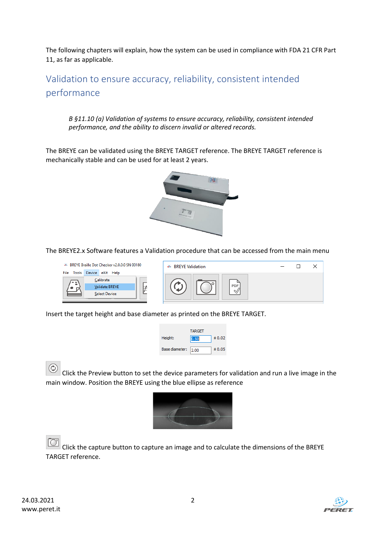The following chapters will explain, how the system can be used in compliance with FDA 21 CFR Part 11, as far as applicable.

<span id="page-1-0"></span>Validation to ensure accuracy, reliability, consistent intended performance

*B §11.10 (a) Validation of systems to ensure accuracy, reliability, consistent intended performance, and the ability to discern invalid or altered records.*

The BREYE can be validated using the BREYE TARGET reference. The BREYE TARGET reference is mechanically stable and can be used for at least 2 years.



The BREYE2.x Software features a Validation procedure that can be accessed from the main menu

|                  | → BREYE Braille Dot Checker v2.0.0.0 SN 00180                           | <b>BREYE Validation</b><br>× |  | × |
|------------------|-------------------------------------------------------------------------|------------------------------|--|---|
| File Tools<br>۰. | Device eXit Help<br>Calibrate<br>Validate BREYE<br><b>Select Device</b> | ∾                            |  |   |

Insert the target height and base diameter as printed on the BREYE TARGET.

|                     | <b>TARGET</b> |        |
|---------------------|---------------|--------|
| Height:             | 0.50          | ± 0.02 |
| Base diameter: 2.00 |               | ± 0.05 |

 $\circled{c}$ Click the Preview button to set the device parameters for validation and run a live image in the main window. Position the BREYE using the blue ellipse as reference



Click the capture button to capture an image and to calculate the dimensions of the BREYE TARGET reference.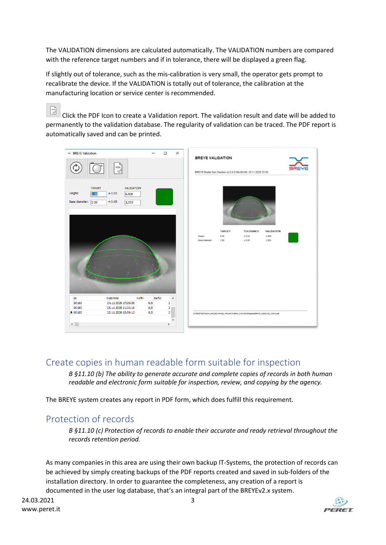The VALIDATION dimensions are calculated automatically. The VALIDATION numbers are compared with the reference target numbers and if in tolerance, there will be displayed a green flag.

If slightly out of tolerance, such as the mis-calibration is very small, the operator gets prompt to recalibrate the device. If the VALIDATION is totally out of tolerance, the calibration at the manufacturing location or service center is recommended.

 $\sqrt{\frac{PDF}{P}}$ Click the PDF Icon to create a Validation report. The validation result and date will be added to permanently to the validation database. The regularity of validation can be traced. The PDF report is automatically saved and can be printed.



# <span id="page-2-0"></span>Create copies in human readable form suitable for inspection

*B §11.10 (b) The ability to generate accurate and complete copies of records in both human readable and electronic form suitable for inspection, review, and copying by the agency.*

The BREYE system creates any report in PDF form, which does fulfill this requirement.

# <span id="page-2-1"></span>Protection of records

*B §11.10 (c) Protection of records to enable their accurate and ready retrieval throughout the records retention period.*

As many companies in this area are using their own backup IT-Systems, the protection of records can be achieved by simply creating backups of the PDF reports created and saved in sub-folders of the installation directory. In order to guarantee the completeness, any creation of a report is documented in the user log database, that's an integral part of the BREYEv2.x system.

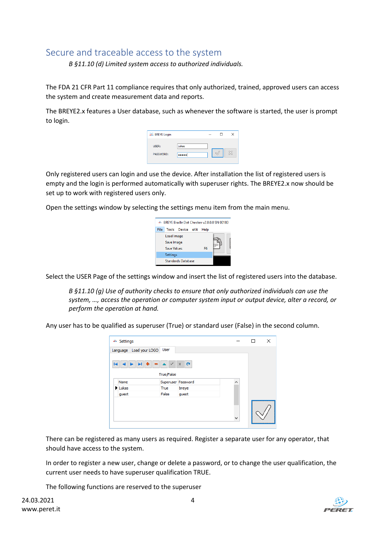# <span id="page-3-0"></span>Secure and traceable access to the system

*B §11.10 (d) Limited system access to authorized individuals.*

The FDA 21 CFR Part 11 compliance requires that only authorized, trained, approved users can access the system and create measurement data and reports.

The BREYE2.x features a User database, such as whenever the software is started, the user is prompt to login.

| <b>BREYE Login</b> |       |  |  |
|--------------------|-------|--|--|
| USER:              | Lukas |  |  |
| PASSWORD:          |       |  |  |
|                    |       |  |  |

Only registered users can login and use the device. After installation the list of registered users is empty and the login is performed automatically with superuser rights. The BREYE2.x now should be set up to work with registered users only.

Open the settings window by selecting the settings menu item from the main menu.

| 26 BREYE Braille Dot Checker v2.0.0.0 SN 00180 |                    |    |      |  |  |  |  |
|------------------------------------------------|--------------------|----|------|--|--|--|--|
| File                                           | Tools Device eXit  |    | Help |  |  |  |  |
|                                                | Load Image         |    |      |  |  |  |  |
|                                                | Save Image         |    |      |  |  |  |  |
|                                                | <b>Save Values</b> | F6 |      |  |  |  |  |
|                                                | Settings           |    |      |  |  |  |  |
|                                                |                    |    |      |  |  |  |  |

Select the USER Page of the settings window and insert the list of registered users into the database.

*B §11.10 (g) Use of authority checks to ensure that only authorized individuals can use the system, …, access the operation or computer system input or output device, alter a record, or perform the operation at hand.*

Any user has to be qualified as superuser (True) or standard user (False) in the second column.

|   | <sup>26</sup> Settings<br>Language Load your LOGO | User                       |                            |   | п | $\times$ |
|---|---------------------------------------------------|----------------------------|----------------------------|---|---|----------|
| ю | $\blacktriangleright$<br>$\blacktriangleright$    |                            | $\times$ $\times$ $\alpha$ |   |   |          |
|   |                                                   | <b>True/False</b>          |                            | ۸ |   |          |
|   | Name<br>$\blacktriangleright$ Lukas               | Superuser Password<br>True | breye                      |   |   |          |
|   | guest                                             | False                      | quest                      |   |   |          |
|   |                                                   |                            |                            | v |   |          |

There can be registered as many users as required. Register a separate user for any operator, that should have access to the system.

In order to register a new user, change or delete a password, or to change the user qualification, the current user needs to have superuser qualification TRUE.

The following functions are reserved to the superuser

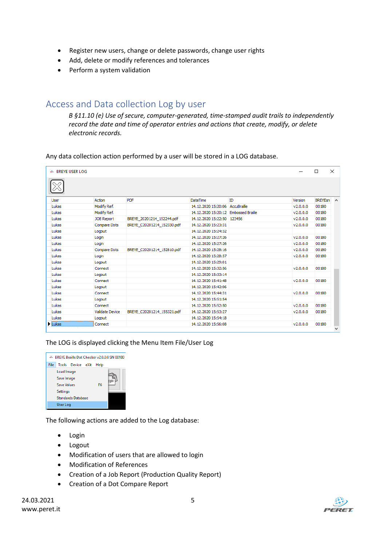- Register new users, change or delete passwords, change user rights
- Add, delete or modify references and tolerances
- Perform a system validation

# <span id="page-4-0"></span>Access and Data collection Log by user

*B §11.10 (e) Use of secure, computer-generated, time-stamped audit trails to independently record the date and time of operator entries and actions that create, modify, or delete electronic records.*

Any data collection action performed by a user will be stored in a LOG database.

| <b>EX BREYE USER LOG</b> |                        |                            |                                      |             |          | П              | $\times$     |
|--------------------------|------------------------|----------------------------|--------------------------------------|-------------|----------|----------------|--------------|
|                          |                        |                            |                                      |             |          |                |              |
| User                     | Action                 | PDF                        | <b>DateTime</b>                      | <b>ID</b>   | Version  | <b>BREYEsn</b> | $\land$      |
| Lukas                    | Modify Ref.            |                            | 14.12.2020 15:20:06                  | AccuBraille | v2.0.0.0 | 00180          |              |
| Lukas                    | Modify Ref.            |                            | 14.12.2020 15:20:12 Embossed Braille |             | v2.0.0.0 | 00180          |              |
| Lukas                    | JOB Report             | BREYE 20201214 152244.pdf  | 14.12.2020 15:22:50 123456           |             | v2.0.0.0 | 00180          |              |
| Lukas                    | <b>Compare Dots</b>    | BREYE C20201214 152330.pdf | 14.12.2020 15:23:31                  |             | v2.0.0.0 | 00180          |              |
| Lukas                    | Logout                 |                            | 14.12.2020 15:24:32                  |             |          |                |              |
| Lukas                    | Login                  |                            | 14.12.2020 15:27:26                  |             | v2.0.0.0 | 00180          |              |
| Lukas                    | Login                  |                            | 14.12.2020 15:27:26                  |             | v2.0.0.0 | 00180          |              |
| Lukas                    | Compare Dots           | BREYE C20201214 152810.pdf | 14.12.2020 15:28:16                  |             | v2.0.0.0 | 00180          |              |
| Lukas                    | Login                  |                            | 14.12.2020 15:28:57                  |             | v2.0.0.0 | 00180          |              |
| Lukas                    | Logout                 |                            | 14.12.2020 15:29:01                  |             |          |                |              |
| Lukas                    | Connect                |                            | 14.12.2020 15:32:56                  |             | v2.0.0.0 | 00180          |              |
| Lukas                    | Logout                 |                            | 14.12.2020 15:33:14                  |             |          |                |              |
| Lukas                    | Connect                |                            | 14.12.2020 15:41:48                  |             | v2.0.0.0 | 00180          |              |
| Lukas                    | Logout                 |                            | 14.12.2020 15:42:06                  |             |          |                |              |
| Lukas                    | Connect                |                            | 14.12.2020 15:44:31                  |             | v2.0.0.0 | 00180          |              |
| Lukas                    | Logout                 |                            | 14.12.2020 15:51:54                  |             |          |                |              |
| Lukas                    | Connect                |                            | 14.12.2020 15:52:50                  |             | v2.0.0.0 | 00180          |              |
| Lukas                    | <b>Validate Device</b> | BREYE_C20201214_155321.pdf | 14.12.2020 15:53:27                  |             | v2.0.0.0 | 00180          |              |
| Lukas                    | Logout                 |                            | 14.12.2020 15:54:18                  |             |          |                |              |
| Lukas                    | Connect                |                            | 14.12.2020 15:56:08                  |             | v2.0.0.0 | 00180          |              |
|                          |                        |                            |                                      |             |          |                | $\checkmark$ |

#### The LOG is displayed clicking the Menu Item File/User Log



The following actions are added to the Log database:

- Login
- Logout
- Modification of users that are allowed to login
- Modification of References
- Creation of a Job Report (Production Quality Report)
- Creation of a Dot Compare Report

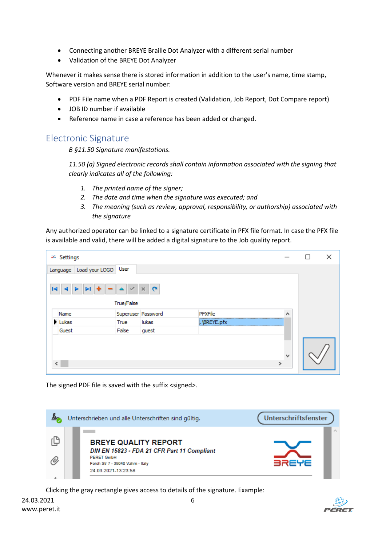- Connecting another BREYE Braille Dot Analyzer with a different serial number
- Validation of the BREYE Dot Analyzer

Whenever it makes sense there is stored information in addition to the user's name, time stamp, Software version and BREYE serial number:

- PDF File name when a PDF Report is created (Validation, Job Report, Dot Compare report)
- JOB ID number if available
- Reference name in case a reference has been added or changed.

## <span id="page-5-0"></span>Electronic Signature

*B §11.50 Signature manifestations.*

*11.50 (a) Signed electronic records shall contain information associated with the signing that clearly indicates all of the following:*

- *1. The printed name of the signer;*
- *2. The date and time when the signature was executed; and*
- *3. The meaning (such as review, approval, responsibility, or authorship) associated with the signature*

Any authorized operator can be linked to a signature certificate in PFX file format. In case the PFX file is available and valid, there will be added a digital signature to the Job quality report.

| <sup>26</sup> Settings       |                    |               |             |        | × |
|------------------------------|--------------------|---------------|-------------|--------|---|
| Language Load your LOGO User |                    |               |             |        |   |
| к                            | True/False         | $\times$<br>r |             |        |   |
| Name                         | Superuser Password |               | PFXFile     | A      |   |
| Lukas                        | True               | lukas         | .\BREYE.pfx |        |   |
| Guest                        | False              | guest         |             |        |   |
| €                            |                    |               |             | v<br>X |   |

The signed PDF file is saved with the suffix <signed>.

|    | Unterschrieben und alle Unterschriften sind gültig.                                                                                                         | <b>Unterschriftsfenster</b> |
|----|-------------------------------------------------------------------------------------------------------------------------------------------------------------|-----------------------------|
| O) | <b>BREYE QUALITY REPORT</b><br>DIN EN 15823 - FDA 21 CFR Part 11 Compliant<br><b>PERET GmbH</b><br>Forch Str 7 - 39040 Vahrn - Italy<br>24.03.2021-13:23:58 | <b>BREYE</b>                |

Clicking the gray rectangle gives access to details of the signature. Example:

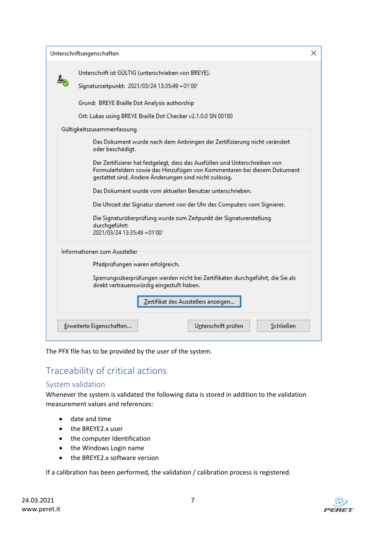| Unterschriftseigenschaften                                                                                                                                                                                        | × |
|-------------------------------------------------------------------------------------------------------------------------------------------------------------------------------------------------------------------|---|
| Unterschrift ist GÜLTIG (unterschrieben von BREYE).<br>Signaturzeitpunkt: 2021/03/24 13:35:49 + 01'00'                                                                                                            |   |
| Grund: BREYE Braille Dot Analysis authorship<br>Ort: Lukas using BREYE Braille Dot Checker v2.1.0.0 SN 00180                                                                                                      |   |
| Gültigkeitszusammenfassung                                                                                                                                                                                        |   |
| Das Dokument wurde nach dem Anbringen der Zertifizierung nicht verändert<br>oder beschädigt.                                                                                                                      |   |
| Der Zertifizierer hat festgelegt, dass das Ausfüllen und Unterschreiben von<br>Formularfeldern sowie das Hinzufügen von Kommentaren bei diesem Dokument<br>gestattet sind. Andere Änderungen sind nicht zulässig. |   |
| Das Dokument wurde vom aktuellen Benutzer unterschrieben.                                                                                                                                                         |   |
| Die Uhrzeit der Signatur stammt von der Uhr des Computers vom Signierer.                                                                                                                                          |   |
| Die Signaturüberprüfung wurde zum Zeitpunkt der Signaturerstellung<br>durchgeführt:<br>2021/03/24 13:35:49 +01'00'                                                                                                |   |
| Informationen zum Aussteller                                                                                                                                                                                      |   |
| Pfadprüfungen waren erfolgreich.                                                                                                                                                                                  |   |
| Sperrungsüberprüfungen werden nicht bei Zertifikaten durchgeführt, die Sie als<br>direkt vertrauenswürdig eingestuft haben.                                                                                       |   |
| Zertifikat des Ausstellers anzeigen                                                                                                                                                                               |   |
| Schließen<br>Erweiterte Eigenschaften<br>Unterschrift prüfen                                                                                                                                                      |   |

The PFX file has to be provided by the user of the system.

# <span id="page-6-0"></span>Traceability of critical actions

### <span id="page-6-1"></span>System validation

Whenever the system is validated the following data is stored in addition to the validation measurement values and references:

- date and time
- the BREYE2.x user
- the computer Identification
- the Windows Login name
- the BREYE2.x software version

If a calibration has been performed, the validation / calibration process is registered.

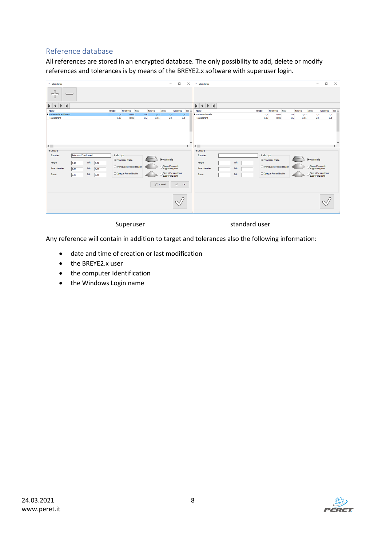### <span id="page-7-0"></span>Reference database

All references are stored in an encrypted database. The only possibility to add, delete or modify references and tolerances is by means of the BREYE2.x software with superuser login.

| * Standards                                                                                                                                            | $\Box$<br>$\times$<br>$\qquad \qquad \blacksquare$                                                                                                                                                                                                       | $\Box$<br>$\times$<br>* Standards<br>$\qquad \qquad =$                                                                                                                                                                                                                                   |
|--------------------------------------------------------------------------------------------------------------------------------------------------------|----------------------------------------------------------------------------------------------------------------------------------------------------------------------------------------------------------------------------------------------------------|------------------------------------------------------------------------------------------------------------------------------------------------------------------------------------------------------------------------------------------------------------------------------------------|
|                                                                                                                                                        |                                                                                                                                                                                                                                                          |                                                                                                                                                                                                                                                                                          |
| Ы<br>$M$ 4<br>k                                                                                                                                        |                                                                                                                                                                                                                                                          | H<br>$\blacktriangleright$ $\blacktriangleright$<br>$\overline{\mathcal{A}}$                                                                                                                                                                                                             |
| Name                                                                                                                                                   | HeightTol<br>BaseTol<br>SpaceTol Prc A<br><b>Height</b><br>Base<br>Space                                                                                                                                                                                 | BaseTol<br>Height<br>HeightTol Base<br>Space<br>SpaceTol Prc A<br>Name                                                                                                                                                                                                                   |
| Embossed Card board                                                                                                                                    | 0,2<br>0,08<br>1.6<br>0,15<br>2,5<br>0,1                                                                                                                                                                                                                 | Embossed Braile<br>0,15<br>0,2<br>0,2<br>0,08<br>1,6<br>2,5                                                                                                                                                                                                                              |
| Transparent                                                                                                                                            | 0,35<br>0,15<br>2.5<br>0.08<br>1.6<br>0,1                                                                                                                                                                                                                | 0,35<br>1.6<br>0,15<br>2.5<br>0,1<br>Transparent<br>0.08                                                                                                                                                                                                                                 |
| $\langle$                                                                                                                                              | $\checkmark$<br>$\rightarrow$                                                                                                                                                                                                                            | $\checkmark$<br>$\hat{~}$<br>٠<br>$\rightarrow$                                                                                                                                                                                                                                          |
| Standard                                                                                                                                               |                                                                                                                                                                                                                                                          | Standard                                                                                                                                                                                                                                                                                 |
| Embossed Card board<br>Standard<br>Tol:<br>Height<br>0,08<br> 0,20<br><b>Base diameter</b><br>Tol:<br>1,60<br> 0,15 <br>Tol:<br>Space<br>2,50<br>0, 10 | <b>Braile</b> type<br>C AccuBraille<br><b>I</b> Embossed Braile<br>Platen Press with<br>◯ Transparent Printed Braile<br>supporting plate<br>Platen Press without<br>O Opaque Printed Braile<br>supporting plate<br>$\%$ Cancel<br>$\sqrt{ }$<br>$\alpha$ | <b>Braile</b> type<br>Standard<br>C AccuBraile<br>(a) Embossed Braile<br>Height<br>Tol:<br>Platen Press with<br>◯ Transparent Printed Braile<br><b>Base diameter</b><br>Tol:<br>supporting plate<br>Platen Press without<br>O Opaque Printed Braile<br>Tol:<br>Space<br>supporting plate |
|                                                                                                                                                        |                                                                                                                                                                                                                                                          |                                                                                                                                                                                                                                                                                          |

#### Superuser standard user

Any reference will contain in addition to target and tolerances also the following information:

- date and time of creation or last modification
- the BREYE2.x user
- the computer Identification
- the Windows Login name